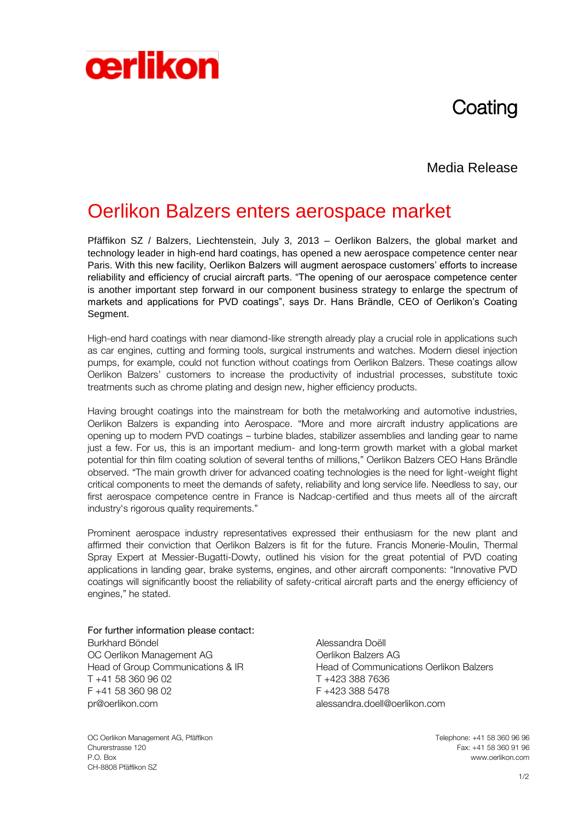# **Coating**

### Media Release

## Oerlikon Balzers enters aerospace market

Pfäffikon SZ / Balzers, Liechtenstein, July 3, 2013 – Oerlikon Balzers, the global market and technology leader in high-end hard coatings, has opened a new aerospace competence center near Paris. With this new facility, Oerlikon Balzers will augment aerospace customers' efforts to increase reliability and efficiency of crucial aircraft parts. "The opening of our aerospace competence center is another important step forward in our component business strategy to enlarge the spectrum of markets and applications for PVD coatings", says Dr. Hans Brändle, CEO of Oerlikon's Coating Segment.

High-end hard coatings with near diamond-like strength already play a crucial role in applications such as car engines, cutting and forming tools, surgical instruments and watches. Modern diesel injection pumps, for example, could not function without coatings from Oerlikon Balzers. These coatings allow Oerlikon Balzers' customers to increase the productivity of industrial processes, substitute toxic treatments such as chrome plating and design new, higher efficiency products.

Having brought coatings into the mainstream for both the metalworking and automotive industries, Oerlikon Balzers is expanding into Aerospace. "More and more aircraft industry applications are opening up to modern PVD coatings – turbine blades, stabilizer assemblies and landing gear to name just a few. For us, this is an important medium- and long-term growth market with a global market potential for thin film coating solution of several tenths of millions," Oerlikon Balzers CEO Hans Brändle observed. "The main growth driver for advanced coating technologies is the need for light-weight flight critical components to meet the demands of safety, reliability and long service life. Needless to say, our first aerospace competence centre in France is Nadcap-certified and thus meets all of the aircraft industry's rigorous quality requirements."

Prominent aerospace industry representatives expressed their enthusiasm for the new plant and affirmed their conviction that Oerlikon Balzers is fit for the future. Francis Monerie-Moulin, Thermal Spray Expert at Messier-Bugatti-Dowty, outlined his vision for the great potential of PVD coating applications in landing gear, brake systems, engines, and other aircraft components: "Innovative PVD coatings will significantly boost the reliability of safety-critical aircraft parts and the energy efficiency of engines," he stated.

For further information please contact: Burkhard Böndel **Alessandra Doëll** OC Oerlikon Management AG **ORIGISTS** Oerlikon Balzers AG T +41 58 360 96 02 T +423 388 7636 F +41 58 360 98 02 F +423 388 5478 [pr@oerlikon.com](mailto:pr@oerlikon.com) alessandra.doell@oerlikon.com

**cerlikon** 

OC Oerlikon Management AG, Pfäffikon<br>Churerstrasse 120 Churerstrasse 120 Fax: +41 58 360 91 96 P.O. Box www.oerlikon.com CH-8808 Pfäffikon SZ

Head of Group Communications & IR Head of Communications Oerlikon Balzers